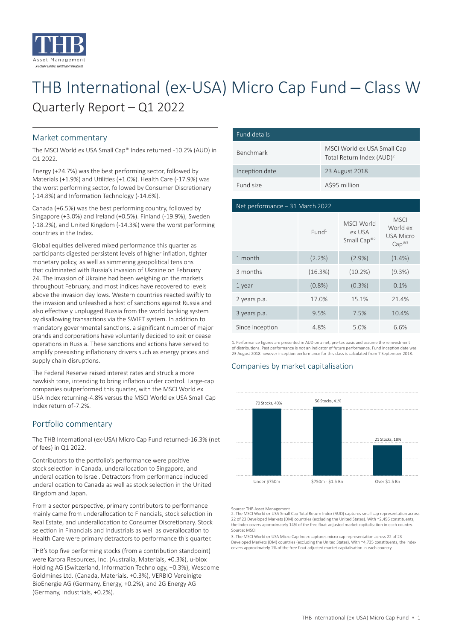

# THB International (ex-USA) Micro Cap Fund - Class W Quarterly Report – Q1 2022

# Market commentary

The MSCI World ex USA Small Cap® Index returned -10.2% (AUD) in Q1 2022.

Energy (+24.7%) was the best performing sector, followed by Materials (+1.9%) and Utilities (+1.0%). Health Care (-17.9%) was the worst performing sector, followed by Consumer Discretionary (-14.8%) and Information Technology (-14.6%).

Canada (+6.5%) was the best performing country, followed by Singapore (+3.0%) and Ireland (+0.5%). Finland (-19.9%), Sweden (-18.2%), and United Kingdom (-14.3%) were the worst performing countries in the Index.

Global equities delivered mixed performance this quarter as participants digested persistent levels of higher inflation, tighter monetary policy, as well as simmering geopolitical tensions that culminated with Russia's invasion of Ukraine on February 24. The invasion of Ukraine had been weighing on the markets throughout February, and most indices have recovered to levels above the invasion day lows. Western countries reacted swiftly to the invasion and unleashed a host of sanctions against Russia and also effectively unplugged Russia from the world banking system by disallowing transactions via the SWIFT system. In addition to mandatory governmental sanctions, a significant number of major brands and corporations have voluntarily decided to exit or cease operations in Russia. These sanctions and actions have served to amplify preexisting inflationary drivers such as energy prices and supply chain disruptions.

The Federal Reserve raised interest rates and struck a more hawkish tone, intending to bring inflation under control. Large-cap companies outperformed this quarter, with the MSCI World ex USA Index returning -4.8% versus the MSCI World ex USA Small Cap Index return of -7.2%.

# Portfolio commentary

The THB International (ex-USA) Micro Cap Fund returned -16.3% (net of fees) in Q1 2022.

Contributors to the portfolio's performance were positive stock selection in Canada, underallocation to Singapore, and underallocation to Israel. Detractors from performance included underallocation to Canada as well as stock selection in the United Kingdom and Japan.

From a sector perspective, primary contributors to performance mainly came from underallocation to Financials, stock selection in Real Estate, and underallocation to Consumer Discretionary. Stock selection in Financials and Industrials as well as overallocation to Health Care were primary detractors to performance this quarter.

THB's top five performing stocks (from a contribution standpoint) were Karora Resources, Inc. (Australia, Materials, +0.3%), u-blox Holding AG (Switzerland, Information Technology, +0.3%), Wesdome Goldmines Ltd. (Canada, Materials, +0.3%), VERBIO Vereinigte BioEnergie AG (Germany, Energy, +0.2%), and 2G Energy AG (Germany, Industrials, +0.2%).

| Fund details     |                                                                      |  |  |
|------------------|----------------------------------------------------------------------|--|--|
| <b>Benchmark</b> | MSCI World ex USA Small Cap<br>Total Return Index (AUD) <sup>2</sup> |  |  |
| Inception date   | 23 August 2018                                                       |  |  |
| Fund size        | A\$95 million                                                        |  |  |

#### Net performance – 31 March 2022

|                 | Fund <sup>1</sup> | MSCI World<br>ex USA<br>Small Cap® <sup>2</sup> | <b>MSCI</b><br>World ex<br><b>USA Micro</b><br>Cap <sup>®3</sup> |
|-----------------|-------------------|-------------------------------------------------|------------------------------------------------------------------|
| 1 month         | (2.2%)            | $(2.9\%)$                                       | $(1.4\%)$                                                        |
| 3 months        | (16.3%)           | $(10.2\%)$                                      | $(9.3\%)$                                                        |
| 1 year          | (0.8%             | $(0.3\%)$                                       | 0.1%                                                             |
| 2 years p.a.    | 17.0%             | 15.1%                                           | 21.4%                                                            |
| 3 years p.a.    | 9.5%              | 7.5%                                            | 10.4%                                                            |
| Since inception | 4.8%              | 5.0%                                            | 6.6%                                                             |

1. Performance figures are presented in AUD on a net, pre-tax basis and assume the reinvestment of distributions. Past performance is not an indicator of future performance. Fund inception date was 23 August 2018 however inception performance for this class is calculated from 7 September 2018.

# Companies by market capitalisation



Source: THB Asset Management

2. The MSCI World ex-USA Small Cap Total Return Index (AUD) captures small cap representation across 22 of 23 Developed Markets (DM) countries (excluding the United States). With ~2,496 constituents the Index covers approximately 14% of the free float-adjusted market capitalisation in each country. Source: MSCI

3. The MSCI World ex USA Micro Cap Index captures micro cap representation across 22 of 23 Developed Markets (DM) countries (excluding the United States). With ~4,735 constituents, the index covers approximately 1% of the free float-adjusted market capitalisation in each country.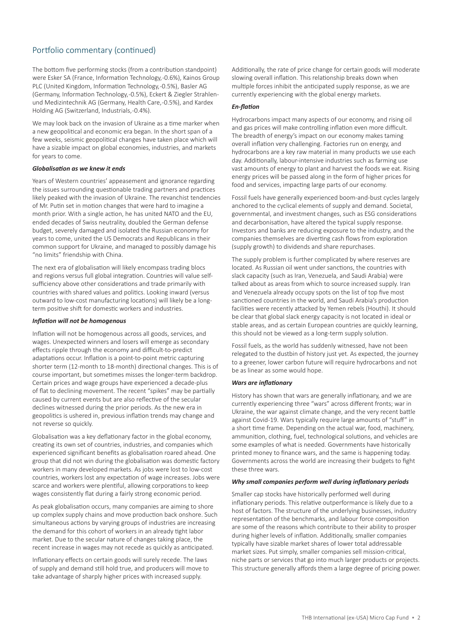# Portfolio commentary (continued)

The bottom five performing stocks (from a contribution standpoint) were Esker SA (France, Information Technology, -0.6%), Kainos Group PLC (United Kingdom, Information Technology, -0.5%), Basler AG (Germany, Information Technology, -0.5%), Eckert & Ziegler Strahlenund Medizintechnik AG (Germany, Health Care, -0.5%), and Kardex Holding AG (Switzerland, Industrials, -0.4%).

We may look back on the invasion of Ukraine as a time marker when a new geopolitical and economic era began. In the short span of a few weeks, seismic geopolitical changes have taken place which will have a sizable impact on global economies, industries, and markets for years to come.

#### *Globalisation as we knew it ends*

Years of Western countries' appeasement and ignorance regarding the issues surrounding questionable trading partners and practices likely peaked with the invasion of Ukraine. The revanchist tendencies of Mr. Putin set in motion changes that were hard to imagine a month prior. With a single action, he has united NATO and the EU, ended decades of Swiss neutrality, doubled the German defense budget, severely damaged and isolated the Russian economy for years to come, united the US Democrats and Republicans in their common support for Ukraine, and managed to possibly damage his "no limits" friendship with China.

The next era of globalisation will likely encompass trading blocs and regions versus full global integration. Countries will value selfsufficiency above other considerations and trade primarily with countries with shared values and politics. Looking inward (versus outward to low-cost manufacturing locations) will likely be a longterm positive shift for domestic workers and industries.

#### *Inflation will not be homogenous*

Inflation will not be homogenous across all goods, services, and wages. Unexpected winners and losers will emerge as secondary effects ripple through the economy and difficult-to-predict adaptations occur. Inflation is a point-to-point metric capturing shorter term (12-month to 18-month) directional changes. This is of course important, but sometimes misses the longer-term backdrop. Certain prices and wage groups have experienced a decade-plus of flat to declining movement. The recent "spikes" may be partially caused by current events but are also reflective of the secular declines witnessed during the prior periods. As the new era in geopolitics is ushered in, previous inflation trends may change and not reverse so quickly.

Globalisation was a key deflationary factor in the global economy, creating its own set of countries, industries, and companies which experienced significant benefits as globalisation roared ahead. One group that did not win during the globalisation was domestic factory workers in many developed markets. As jobs were lost to low-cost countries, workers lost any expectation of wage increases. Jobs were scarce and workers were plentiful, allowing corporations to keep wages consistently flat during a fairly strong economic period.

As peak globalisation occurs, many companies are aiming to shore up complex supply chains and move production back onshore. Such simultaneous actions by varying groups of industries are increasing the demand for this cohort of workers in an already tight labor market. Due to the secular nature of changes taking place, the recent increase in wages may not recede as quickly as anticipated.

Inflationary effects on certain goods will surely recede. The laws of supply and demand still hold true, and producers will move to take advantage of sharply higher prices with increased supply.

Additionally, the rate of price change for certain goods will moderate slowing overall inflation. This relationship breaks down when multiple forces inhibit the anticipated supply response, as we are currently experiencing with the global energy markets.

# *En-flation*

Hydrocarbons impact many aspects of our economy, and rising oil and gas prices will make controlling inflation even more difficult. The breadth of energy's impact on our economy makes taming overall inflation very challenging. Factories run on energy, and hydrocarbons are a key raw material in many products we use each day. Additionally, labour-intensive industries such as farming use vast amounts of energy to plant and harvest the foods we eat. Rising energy prices will be passed along in the form of higher prices for food and services, impacting large parts of our economy.

Fossil fuels have generally experienced boom-and-bust cycles largely anchored to the cyclical elements of supply and demand. Societal, governmental, and investment changes, such as ESG considerations and decarbonisation, have altered the typical supply response. Investors and banks are reducing exposure to the industry, and the companies themselves are diverting cash flows from exploration (supply growth) to dividends and share repurchases.

The supply problem is further complicated by where reserves are located. As Russian oil went under sanctions, the countries with slack capacity (such as Iran, Venezuela, and Saudi Arabia) were talked about as areas from which to source increased supply. Iran and Venezuela already occupy spots on the list of top five most sanctioned countries in the world, and Saudi Arabia's production facilities were recently attacked by Yemen rebels (Houthi). It should be clear that global slack energy capacity is not located in ideal or stable areas, and as certain European countries are quickly learning, this should not be viewed as a long-term supply solution.

Fossil fuels, as the world has suddenly witnessed, have not been relegated to the dustbin of history just yet. As expected, the journey to a greener, lower carbon future will require hydrocarbons and not be as linear as some would hope.

#### *Wars are inflationary*

History has shown that wars are generally inflationary, and we are currently experiencing three "wars" across different fronts; war in Ukraine, the war against climate change, and the very recent battle against Covid-19. Wars typically require large amounts of "stuff" in a short time frame. Depending on the actual war, food, machinery, ammunition, clothing, fuel, technological solutions, and vehicles are some examples of what is needed. Governments have historically printed money to finance wars, and the same is happening today. Governments across the world are increasing their budgets to fight these three wars.

#### *Why small companies perform well during inflationary periods*

Smaller cap stocks have historically performed well during inflationary periods. This relative outperformance is likely due to a host of factors. The structure of the underlying businesses, industry representation of the benchmarks, and labour force composition are some of the reasons which contribute to their ability to prosper during higher levels of inflation. Additionally, smaller companies typically have sizable market shares of lower total addressable market sizes. Put simply, smaller companies sell mission-critical, niche parts or services that go into much larger products or projects. This structure generally affords them a large degree of pricing power.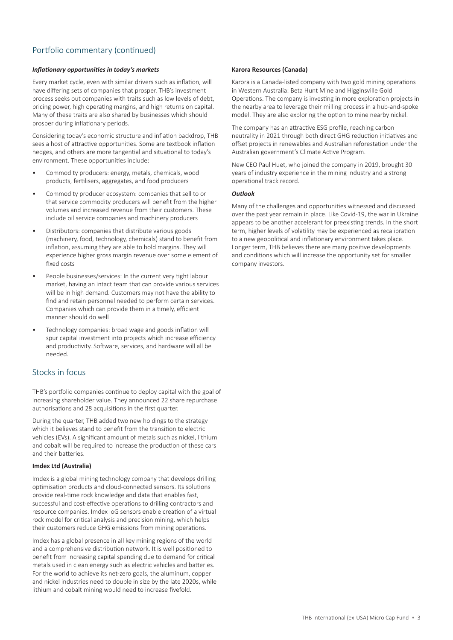# Portfolio commentary (continued)

#### *Inflationary opportunities in today's markets*

Every market cycle, even with similar drivers such as inflation, will have differing sets of companies that prosper. THB's investment process seeks out companies with traits such as low levels of debt, pricing power, high operating margins, and high returns on capital. Many of these traits are also shared by businesses which should prosper during inflationary periods.

Considering today's economic structure and inflation backdrop, THB sees a host of attractive opportunities. Some are textbook inflation hedges, and others are more tangential and situational to today's environment. These opportunities include:

- Commodity producers: energy, metals, chemicals, wood products, fertilisers, aggregates, and food producers
- Commodity producer ecosystem: companies that sell to or that service commodity producers will benefit from the higher volumes and increased revenue from their customers. These include oil service companies and machinery producers
- Distributors: companies that distribute various goods (machinery, food, technology, chemicals) stand to benefit from inflation, assuming they are able to hold margins. They will experience higher gross margin revenue over some element of fixed costs
- People businesses/services: In the current very tight labour market, having an intact team that can provide various services will be in high demand. Customers may not have the ability to find and retain personnel needed to perform certain services. Companies which can provide them in a timely, efficient manner should do well
- Technology companies: broad wage and goods inflation will spur capital investment into projects which increase efficiency and productivity. Software, services, and hardware will all be needed.

# Stocks in focus

THB's portfolio companies continue to deploy capital with the goal of increasing shareholder value. They announced 22 share repurchase authorisations and 28 acquisitions in the first quarter.

During the quarter, THB added two new holdings to the strategy which it believes stand to benefit from the transition to electric vehicles (EVs). A significant amount of metals such as nickel, lithium and cobalt will be required to increase the production of these cars and their batteries.

#### **Imdex Ltd (Australia)**

Imdex is a global mining technology company that develops drilling optimisation products and cloud-connected sensors. Its solutions provide real-time rock knowledge and data that enables fast, successful and cost-effective operations to drilling contractors and resource companies. Imdex IoG sensors enable creation of a virtual rock model for critical analysis and precision mining, which helps their customers reduce GHG emissions from mining operations.

Imdex has a global presence in all key mining regions of the world and a comprehensive distribution network. It is well positioned to benefit from increasing capital spending due to demand for critical metals used in clean energy such as electric vehicles and batteries. For the world to achieve its net-zero goals, the aluminum, copper and nickel industries need to double in size by the late 2020s, while lithium and cobalt mining would need to increase fivefold.

#### **Karora Resources (Canada)**

Karora is a Canada-listed company with two gold mining operations in Western Australia: Beta Hunt Mine and Higginsville Gold Operations. The company is investing in more exploration projects in the nearby area to leverage their milling process in a hub-and-spoke model. They are also exploring the option to mine nearby nickel.

The company has an attractive ESG profile, reaching carbon neutrality in 2021 through both direct GHG reduction initiatives and offset projects in renewables and Australian reforestation under the Australian government's Climate Active Program.

New CEO Paul Huet, who joined the company in 2019, brought 30 years of industry experience in the mining industry and a strong operational track record.

#### *Outlook*

Many of the challenges and opportunities witnessed and discussed over the past year remain in place. Like Covid-19, the war in Ukraine appears to be another accelerant for preexisting trends. In the short term, higher levels of volatility may be experienced as recalibration to a new geopolitical and inflationary environment takes place. Longer term, THB believes there are many positive developments and conditions which will increase the opportunity set for smaller company investors.